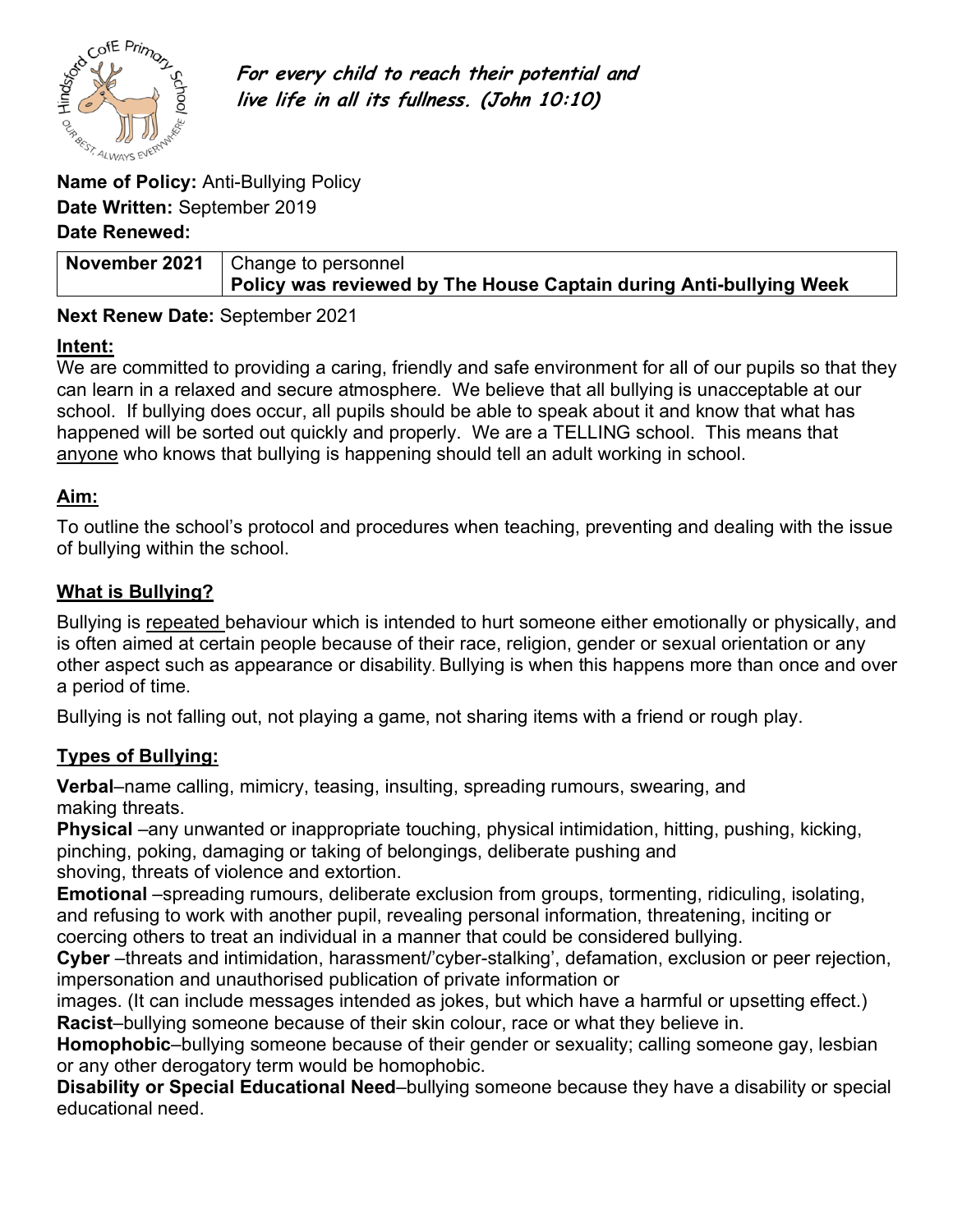

**For every child to reach their potential and live life in all its fullness. (John 10:10)**

**Date Written:** September 2019

## **Date Renewed:**

| November 2021   Change to personnel                                |
|--------------------------------------------------------------------|
| Policy was reviewed by The House Captain during Anti-bullying Week |

## **Next Renew Date:** September 2021

#### **Intent:**

We are committed to providing a caring, friendly and safe environment for all of our pupils so that they can learn in a relaxed and secure atmosphere. We believe that all bullying is unacceptable at our school. If bullying does occur, all pupils should be able to speak about it and know that what has happened will be sorted out quickly and properly. We are a TELLING school. This means that anyone who knows that bullying is happening should tell an adult working in school.

## **Aim:**

To outline the school's protocol and procedures when teaching, preventing and dealing with the issue of bullying within the school.

## **What is Bullying?**

Bullying is repeated behaviour which is intended to hurt someone either emotionally or physically, and is often aimed at certain people because of their race, religion, gender or sexual orientation or any other aspect such as appearance or disability. Bullying is when this happens more than once and over a period of time.

Bullying is not falling out, not playing a game, not sharing items with a friend or rough play.

## **Types of Bullying:**

**Verbal**–name calling, mimicry, teasing, insulting, spreading rumours, swearing, and making threats.

**Physical** –any unwanted or inappropriate touching, physical intimidation, hitting, pushing, kicking, pinching, poking, damaging or taking of belongings, deliberate pushing and shoving, threats of violence and extortion.

**Emotional** –spreading rumours, deliberate exclusion from groups, tormenting, ridiculing, isolating, and refusing to work with another pupil, revealing personal information, threatening, inciting or coercing others to treat an individual in a manner that could be considered bullying.

**Cyber** –threats and intimidation, harassment/'cyber-stalking', defamation, exclusion or peer rejection, impersonation and unauthorised publication of private information or

images. (It can include messages intended as jokes, but which have a harmful or upsetting effect.) **Racist**–bullying someone because of their skin colour, race or what they believe in.

**Homophobic**–bullying someone because of their gender or sexuality; calling someone gay, lesbian or any other derogatory term would be homophobic.

**Disability or Special Educational Need**–bullying someone because they have a disability or special educational need.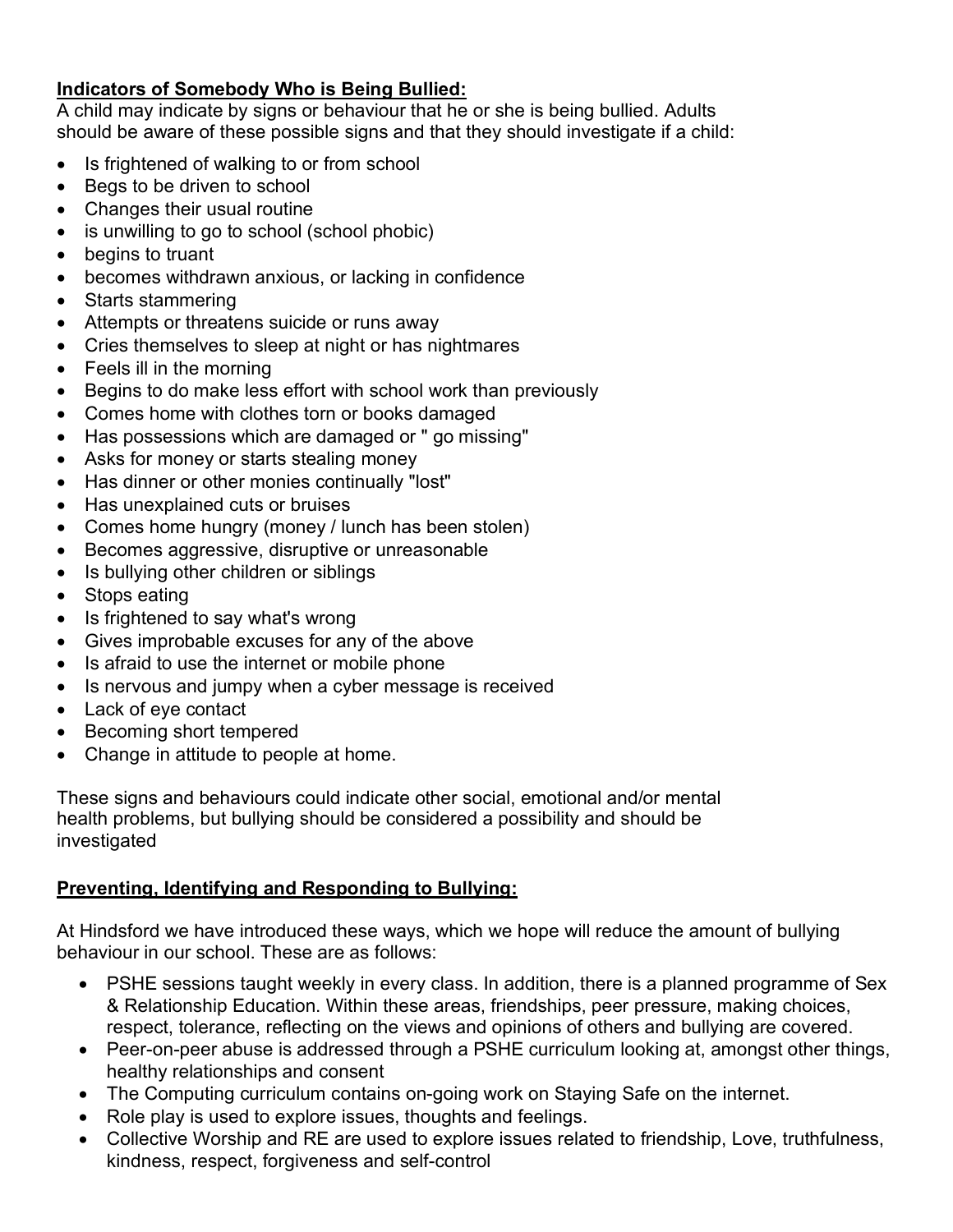## **Indicators of Somebody Who is Being Bullied:**

A child may indicate by signs or behaviour that he or she is being bullied. Adults should be aware of these possible signs and that they should investigate if a child:

- Is frightened of walking to or from school
- Begs to be driven to school
- Changes their usual routine
- is unwilling to go to school (school phobic)
- begins to truant
- becomes withdrawn anxious, or lacking in confidence
- Starts stammering
- Attempts or threatens suicide or runs away
- Cries themselves to sleep at night or has nightmares
- Feels ill in the morning
- Begins to do make less effort with school work than previously
- Comes home with clothes torn or books damaged
- Has possessions which are damaged or " go missing"
- Asks for money or starts stealing money
- Has dinner or other monies continually "lost"
- Has unexplained cuts or bruises
- Comes home hungry (money / lunch has been stolen)
- Becomes aggressive, disruptive or unreasonable
- Is bullying other children or siblings
- Stops eating
- Is frightened to say what's wrong
- Gives improbable excuses for any of the above
- Is afraid to use the internet or mobile phone
- Is nervous and jumpy when a cyber message is received
- Lack of eye contact
- Becoming short tempered
- Change in attitude to people at home.

These signs and behaviours could indicate other social, emotional and/or mental health problems, but bullying should be considered a possibility and should be investigated

# **Preventing, Identifying and Responding to Bullying:**

At Hindsford we have introduced these ways, which we hope will reduce the amount of bullying behaviour in our school. These are as follows:

- PSHE sessions taught weekly in every class. In addition, there is a planned programme of Sex & Relationship Education. Within these areas, friendships, peer pressure, making choices, respect, tolerance, reflecting on the views and opinions of others and bullying are covered.
- Peer-on-peer abuse is addressed through a PSHE curriculum looking at, amongst other things, healthy relationships and consent
- The Computing curriculum contains on-going work on Staying Safe on the internet.
- Role play is used to explore issues, thoughts and feelings.
- Collective Worship and RE are used to explore issues related to friendship, Love, truthfulness, kindness, respect, forgiveness and self-control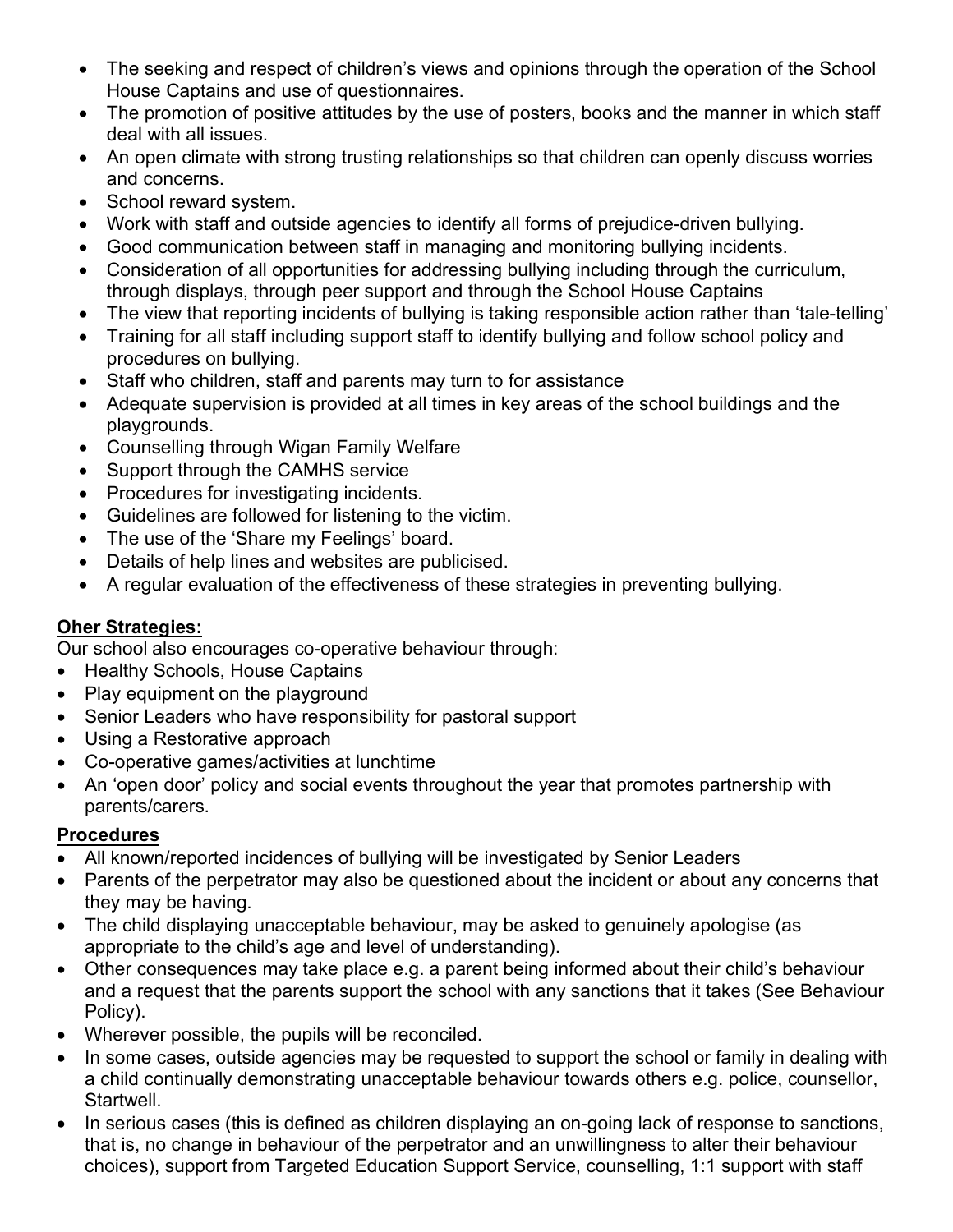- The seeking and respect of children's views and opinions through the operation of the School House Captains and use of questionnaires.
- The promotion of positive attitudes by the use of posters, books and the manner in which staff deal with all issues.
- An open climate with strong trusting relationships so that children can openly discuss worries and concerns.
- School reward system.
- Work with staff and outside agencies to identify all forms of prejudice-driven bullying.
- Good communication between staff in managing and monitoring bullying incidents.
- Consideration of all opportunities for addressing bullying including through the curriculum, through displays, through peer support and through the School House Captains
- The view that reporting incidents of bullying is taking responsible action rather than 'tale-telling'
- Training for all staff including support staff to identify bullying and follow school policy and procedures on bullying.
- Staff who children, staff and parents may turn to for assistance
- Adequate supervision is provided at all times in key areas of the school buildings and the playgrounds.
- Counselling through Wigan Family Welfare
- Support through the CAMHS service
- Procedures for investigating incidents.
- Guidelines are followed for listening to the victim.
- The use of the 'Share my Feelings' board.
- Details of help lines and websites are publicised.
- A regular evaluation of the effectiveness of these strategies in preventing bullying.

# **Oher Strategies:**

Our school also encourages co-operative behaviour through:

- Healthy Schools, House Captains
- Play equipment on the playground
- Senior Leaders who have responsibility for pastoral support
- Using a Restorative approach
- Co-operative games/activities at lunchtime
- An 'open door' policy and social events throughout the year that promotes partnership with parents/carers.

# **Procedures**

- All known/reported incidences of bullying will be investigated by Senior Leaders
- Parents of the perpetrator may also be questioned about the incident or about any concerns that they may be having.
- The child displaying unacceptable behaviour, may be asked to genuinely apologise (as appropriate to the child's age and level of understanding).
- Other consequences may take place e.g. a parent being informed about their child's behaviour and a request that the parents support the school with any sanctions that it takes (See Behaviour Policy).
- Wherever possible, the pupils will be reconciled.
- In some cases, outside agencies may be requested to support the school or family in dealing with a child continually demonstrating unacceptable behaviour towards others e.g. police, counsellor, Startwell.
- In serious cases (this is defined as children displaying an on-going lack of response to sanctions, that is, no change in behaviour of the perpetrator and an unwillingness to alter their behaviour choices), support from Targeted Education Support Service, counselling, 1:1 support with staff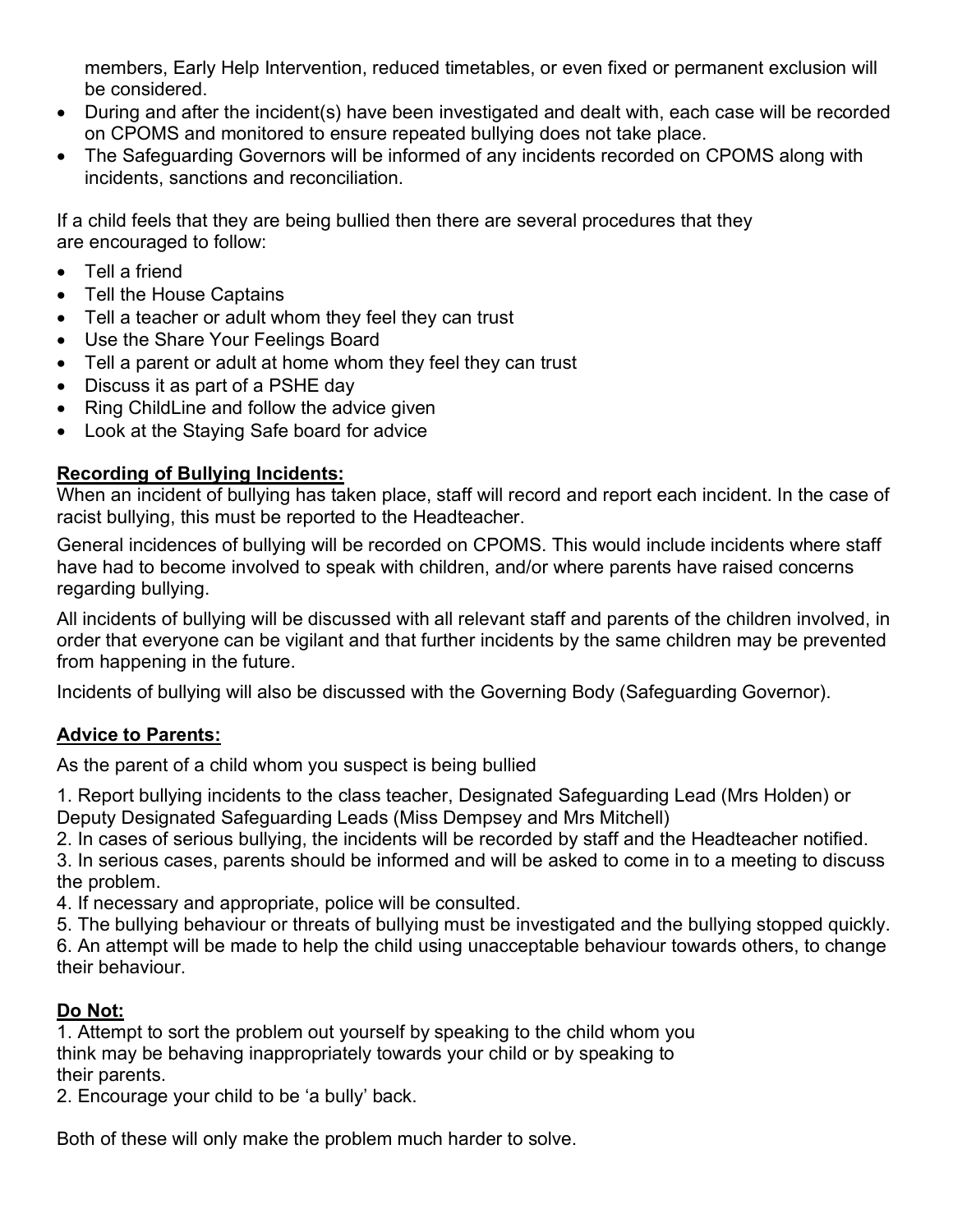members, Early Help Intervention, reduced timetables, or even fixed or permanent exclusion will be considered.

- During and after the incident(s) have been investigated and dealt with, each case will be recorded on CPOMS and monitored to ensure repeated bullying does not take place.
- The Safeguarding Governors will be informed of any incidents recorded on CPOMS along with incidents, sanctions and reconciliation.

If a child feels that they are being bullied then there are several procedures that they are encouraged to follow:

- Tell a friend
- Tell the House Captains
- Tell a teacher or adult whom they feel they can trust
- Use the Share Your Feelings Board
- Tell a parent or adult at home whom they feel they can trust
- Discuss it as part of a PSHE day
- Ring ChildLine and follow the advice given
- Look at the Staying Safe board for advice

## **Recording of Bullying Incidents:**

When an incident of bullying has taken place, staff will record and report each incident. In the case of racist bullying, this must be reported to the Headteacher.

General incidences of bullying will be recorded on CPOMS. This would include incidents where staff have had to become involved to speak with children, and/or where parents have raised concerns regarding bullying.

All incidents of bullying will be discussed with all relevant staff and parents of the children involved, in order that everyone can be vigilant and that further incidents by the same children may be prevented from happening in the future.

Incidents of bullying will also be discussed with the Governing Body (Safeguarding Governor).

# **Advice to Parents:**

As the parent of a child whom you suspect is being bullied

1. Report bullying incidents to the class teacher, Designated Safeguarding Lead (Mrs Holden) or Deputy Designated Safeguarding Leads (Miss Dempsey and Mrs Mitchell)

2. In cases of serious bullying, the incidents will be recorded by staff and the Headteacher notified.

3. In serious cases, parents should be informed and will be asked to come in to a meeting to discuss the problem.

4. If necessary and appropriate, police will be consulted.

5. The bullying behaviour or threats of bullying must be investigated and the bullying stopped quickly.

6. An attempt will be made to help the child using unacceptable behaviour towards others, to change their behaviour.

# **Do Not:**

1. Attempt to sort the problem out yourself by speaking to the child whom you think may be behaving inappropriately towards your child or by speaking to their parents.

2. Encourage your child to be 'a bully' back.

Both of these will only make the problem much harder to solve.